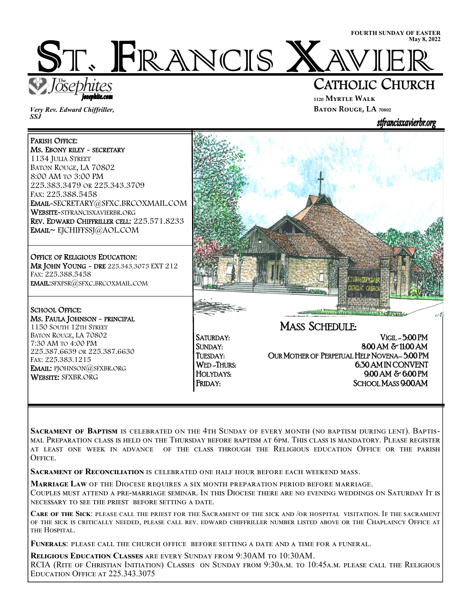ST. FRANCIS X **FOURTH SUNDAY OF EASTER May 8, 2022**

*Very Rev. Edward Chiffriller, SSJ* 

## CATHOLIC CHURCH **₁₁₂₀ Myrtle Walk**

**BATON ROUGE, LA 70802** 

stfrancisxavierbr.org

PARISH OFFICE: MS. EBONY RILEY - SECRETARY 1134 JULIA STREET BATON ROUGE, LA 70802 8:00 AM TO 3:00 PM 225.383.3479 OR 225.343.3709 FAX: 225.388.5458 EMAIL-SECRETARY@SFXC.BRCOXMAIL.COM WEBSITE-STFRANCISXAVIERBR.ORG REV. EDWARD CHIFFRILLER CELL: 225.571.8233 EMAIL~ EJCHIFFSSJ@AOL.COM

İ OFFICE OF RELIGIOUS EDUCATION: MR JOHN YOUNG - DRE 225.343.3075 EXT 212 FAX: 225.388.5458 EMAIL:SFXPSR@SFXC.BRCOXMAIL.COM L

## SCHOOL OFFICE:

í

MS. PAULA JOHNSON ~ PRINCIPAL 1150 SOUTH 12TH STREET BATON ROUGE, LA 70802 7:30 AM TO 4:00 PM 225.387.6639 OR 225.387.6630 FAX: 225.383.1215 EMAIL: PJOHNSON@SFXBR.ORG WEBSITE: SFXBR.ORG

SUNDAY: 8:00 AM & 11:00 AM<br>TUESDAY: OUR MOTHER OF PERPETUAL HELP NOVENA-5:00 PM OUR MOTHER OF PERPETUAL HELP NOVENA-5:00 PM WED-THURS: 6.30 AM IN CONVENT HOLYDAYS: 9:00 AM & 6:00 PM FRIDAY: SCHOOL MASS 9:00 AM

SACRAMENT OF BAPTISM IS CELEBRATED ON THE 4TH SUNDAY OF EVERY MONTH (NO BAPTISM DURING LENT). BAPTIS-MAL PREPARATION CLASS IS HELD ON THE THURSDAY BEFORE BAPTISM AT 6PM. THIS CLASS IS MANDATORY. PLEASE REGISTER AT LEAST ONE WEEK IN ADVANCE OF THE CLASS THROUGH THE RELIGIOUS EDUCATION OFFICE OR THE PARISH OFFICE.

**SACRAMENT OF RECONCILIATION IS CELEBRATED ONE HALF HOUR BEFORE EACH WEEKEND MASS.** 

**MARRIAGE LAW OF THE DIOCESE REQUIRES A SIX MONTH PREPARATION PERIOD BEFORE MARRIAGE.** 

COUPLES MUST ATTEND A PRE-MARRIAGE SEMINAR. IN THIS DIOCESE THERE ARE NO EVENING WEDDINGS ON SATURDAY IT IS NECESSARY TO SEE THE PRIEST BEFORE SETTING A DATE.

**CARE OF THE SICK: PLEASE** CALL THE PRIEST FOR THE SACRAMENT OF THE SICK AND /OR HOSPITAL VISITATION. IF THE SACRAMENT OF THE SICK IS CRITICALLY NEEDED, PLEASE CALL REV. EDWARD CHIFFRILLER NUMBER LISTED ABOVE OR THE CHAPLAINCY OFFICE AT THE HOSPITAL.

FUNERALS: PLEASE CALL THE CHURCH OFFICE BEFORE SETTING A DATE AND A TIME FOR A FUNERAL.

**RELIGIOUS EDUCATION CLASSES** ARE EVERY SUNDAY FROM 9:30AM TO 10:30AM. RCIA (RITE OF CHRISTIAN INITIATION) CLASSES ON SUNDAY FROM 9:30A.M. TO 10:45A.M. PLEASE CALL THE RELIGIOUS EDUCATION OFFICE AT 225.343.3075



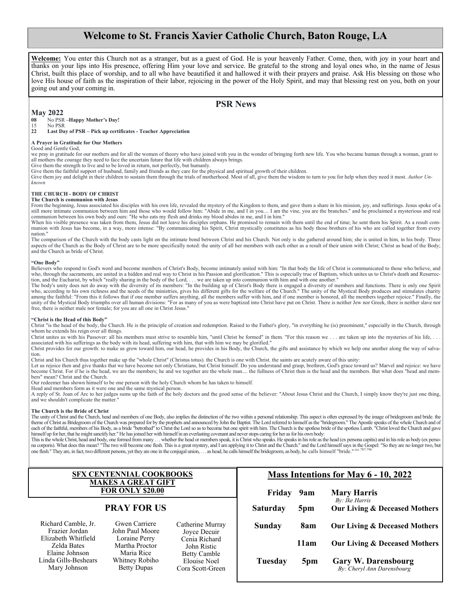## **Welcome to St. Francis Xavier Catholic Church, Baton Rouge, LA**

**Welcome:** You enter this Church not as a stranger, but as a guest of God. He is your heavenly Father. Come, then, with joy in your heart and thanks on your lips into His presence, offering Him your love and service. Be grateful to the strong and loyal ones who, in the name of Jesus Christ, built this place of worship, and to all who have beautified it and hallowed it with their prayers and praise. Ask His blessing on those who love His house of faith as the inspiration of their labor, rejoicing in the power of the Holy Spirit, and may that blessing rest on you, both on your going out and your coming in.

#### **PSR News**

# **May 2022**<br>08 No PSR

**08** No PSR **–Happy Mother's Day!**

15 No PSR<br>22 Last Da

#### **22 Last Day of PSR – Pick up certificates - Teacher Appreciation**

#### **A Prayer in Gratitude for Our Mothers**

#### Good and Gentle God,

we pray in gratitude for our mothers and for all the women of theory who have joined with you in the wonder of bringing forth new life. You who became human through a woman, grant to all mothers the courage they need to face the uncertain future that life with children always brings.

Give them the strength to live and to be loved in return, not perfectly, but humanly.

Give them the faithful support of husband, family and friends as they care for the physical and spiritual growth of their children.<br>Give them joy and delight in their children to sustain them through the trials of motherho *known*

#### **THE CHURCH - BODY OF CHRIST**

#### **The Church is communion with Jesus**

From the beginning, Jesus associated his disciples with his own life, revealed the mystery of the Kingdom to them, and gave them a share in his mission, joy, and sufferings. Jesus spoke of a still more intimate communion between him and those who would follow him: "Abide in me, and I in you.... I am the vine, you are the branches." and he proclaimed a mysterious and real communion between his own body and ours: "He who eats my flesh and drinks my blood abides in me, and I in him."

When his visible presence was taken from them, Jesus did not leave his disciples orphans. He promised to remain with them until the end of time; he sent them his Spirit. As a result com-<br>munion with Jesus has become, in a nation."

The comparison of the Church with the body casts light on the intimate bond between Christ and his Church. Not only is she gathered around him; she is united in him, in his body. Three aspects of the Church as the Body of Christ are to be more specifically noted: the unity of all her members with each other as a result of their union with Christ; Christ as head of the Body; and the Church as bride of Christ.

#### **"One Body"**

Believers who respond to God's word and become members of Christ's Body, become intimately united with him: "In that body the life of Christ is communicated to those who believe, and who, through the sacraments, are united in a hidden and real way to Christ in his Passion and glorification." This is especially true of Baptism, which unites us to Christ's death and Resurrec-

tion, and the Eucharist, by which "really sharing in the body of the Lord, . . . we are taken up into communion with him and with one another."<br>The body's unity does not do away with the diversity of its members: "In the b among the faithful: "From this it follows that if one member suffers anything, all the members suffer with him, and if one member is honored, all the members together rejoice." Finally, the unity of the Mystical Body triumphs over all human divisions: "For as many of you as were baptized into Christ have put on Christ. There is neither Jew nor Greek, there is neither slave nor free, there is neither male nor female; for you are all one in Christ Jesus."

#### **"Christ is the Head of this Body"**

Christ "is the head of the body, the Church. He is the principle of creation and redemption. Raised to the Father's glory, "in everything he (is) preeminent," especially in the Church, through

whom he extends his reign over all things.<br>Christ unites us with his Passover: all his members must strive to resemble him, "until Christ be formed" in them. "For this reason we . . . are taken up into the mysteries of his associated with his sufferings as the body with its head, suffering with him, that with him we may be glorified."

Christ provides for our growth: to make us grow toward him, our head, he provides in his Body, the Church, the gifts and assistance by which we help one another along the way of salvation.

Christ and his Church thus together make up the "whole Christ" (Christus totus). the Church is one with Christ. the saints are acutely aware of this unity:

Let us rejoice then and give thanks that we have become not only Christians, but Christ himself. Do you understand and grasp, brethren, God's grace toward us? Marvel and rejoice: we have become Christ. For if he is the head, we are the members; he and we together are the whole man.... the fullness of Christ then is the head and the members. But what does "head and members" mean? Christ and the Church.

Our redeemer has shown himself to be one person with the holy Church whom he has taken to himself.

Head and members form as it were one and the same mystical person.

A reply of St. Joan of Arc to her judges sums up the faith of the holy doctors and the good sense of the believer: "About Jesus Christ and the Church, I simply know they're just one thing, and we shouldn't complicate the matter."

#### **The Church is the Bride of Christ**

The unity of Christ and the Church, head and members of one Body, also implies the distinction of the two within a personal relationship. This aspect is often expressed by the image of bridegroom and bride. the theme of Christ as Bridegroom of the Church was prepared for by the prophets and announced by John the Baptist. The Lord referred to himself as the "bridegroom." The Apostle speaks of the whole Church and of each of the faithful, members of his Body, as a bride "betrothed" to Christ the Lord so as to become but one spirit with him. The Church is the spotless bride of the spotless Lamb. "Christ loved the Church and gave

himself up for her, that he might sanctify her." He has joined her with himself in an everlasting covenant and never stops caring for her as for his own body:<br>This is the whole Christ, head and body, one formed from many . one flesh." They are, in fact, two different persons, yet they are one in the conjugal union, . . . as head, he calls himself the bridegroom, as body, he calls himself "bride." c

### **SFX CENTENNIAL COOKBOOKS MAKES A GREAT GIFT FOR ONLY \$20.00**

#### **PRAY FOR US**

Richard Camble, Jr. Frazier Jordan Elizabeth Whitfield Zelda Bates Elaine Johnson Linda Gills-Beshears Mary Johnson

Gwen Carriere John Paul Moore Loraine Perry Martha Proctor Maria Rice Whitney Robiho Betty Dupas

Catherine Murray Joyce Decuir Cenia Richard John Ristic Betty Camble Elouise Noel Cora Scott-Green

| Friday          | 9am             | <b>Mary Harris</b>                                         |
|-----------------|-----------------|------------------------------------------------------------|
| <b>Saturday</b> | 5 <sub>pm</sub> | By: Ike Harris<br><b>Our Living &amp; Deceased Mothers</b> |
| Sunday          | 8am             | Our Living & Deceased Mothers                              |
|                 | 11am            | <b>Our Living &amp; Deceased Mothers</b>                   |
| <b>Tuesday</b>  | 5 <sub>pm</sub> | <b>Gary W. Darensbourg</b><br>By: Cheryl Ann Darensbourg   |

**Mass Intentions for May 6 - 10, 2022**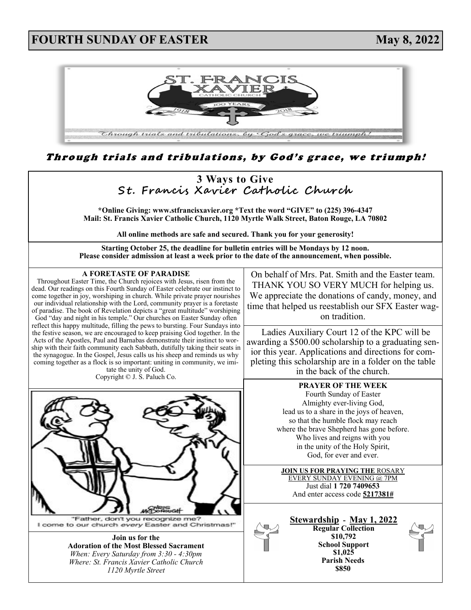# **FOURTH SUNDAY OF EASTER May 8, 2022**



Through trials and tribulations, by God's grace, we triumph!